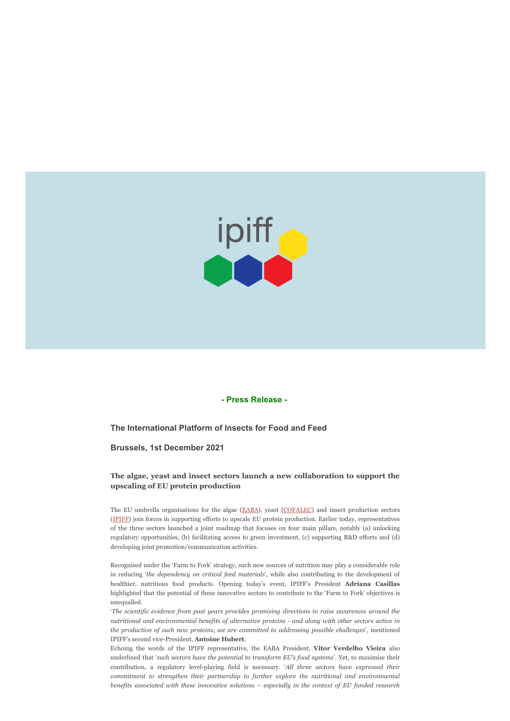

## **- Press Release -**

**The International Platform of Insects for Food and Feed**

**Brussels, 1st December 2021**

## **The algae, yeast and insect sectors launch a new collaboration to support the upscaling of EU protein production**

The EU umbrella organisations for the algae ([EABA](https://www.eaba-association.org/en)), yeast ([COFALEC\)](https://www.cofalec.com/) and insect production sectors ([IPIFF\)](https://ipiff.org/) join forces in supporting efforts to upscale EU protein production. Earlier today, representatives of the three sectors launched a joint roadmap that focuses on four main pillars, notably (a) unlocking regulatory opportunities, (b) facilitating access to green investment, (c) supporting R&D efforts and (d) developing joint promotion/communication activities.

Recognised under the 'Farm to Fork' strategy, such new sources of nutrition may play a considerable role in reducing '*the dependency on critical feed materials*', while also contributing to the development of healthier, nutritious food products. Opening today's event, IPIFF's President **Adriana Casillas** highlighted that the potential of these innovative sectors to contribute to the 'Farm to Fork' objectives is unequalled.

'*The scientific evidence from past years provides promising directions to raise awareness around the nutritional and environmental benefits of alternative proteins - and along with other sectors active in the production of such new proteins, we are committed to addressing possible challenges*', mentioned IPIFF's second vice-President, **Antoine Hubert**.

Echoing the words of the IPIFF representative, the EABA President, **Vitor Verdelho Vieira** also underlined that '*such sectors have the potential to transform EU's food systems*'. Yet, to maximise their contribution, a regulatory level-playing field is necessary. '*All three sectors have expressed their commitment to strengthen their partnership to further explore the nutritional and environmental benefits associated with these innovative solutions – especially in the context of EU funded research*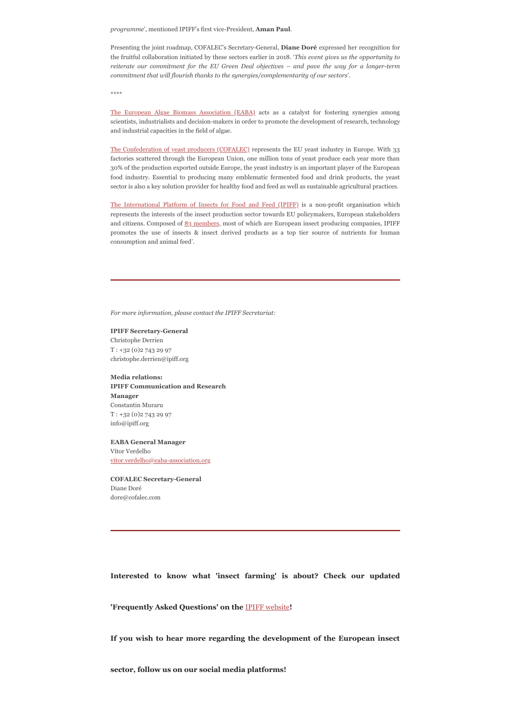*programme*', mentioned IPIFF's first vice-President, **Aman Paul**.

Presenting the joint roadmap, COFALEC's Secretary-General, **Diane Doré** expressed her recognition for the fruitful collaboration initiated by these sectors earlier in 2018. '*This event gives us the opportunity to reiterate our commitment for the EU Green Deal objectives – and pave the way for a longer-term commitment that will flourish thanks to the synergies/complementarity of our sectors*'.

\*\*\*\*

[The European Algae Biomass Association \(EABA\)](https://www.eaba-association.org/en) acts as a catalyst for fostering synergies among scientists, industrialists and decision-makers in order to promote the development of research, technology and industrial capacities in the field of algae.

[The Confederation of yeast producers \(COFALEC\)](https://www.cofalec.com/) represents the EU yeast industry in Europe. With 33 factories scattered through the European Union, one million tons of yeast produce each year more than 30% of the production exported outside Europe, the yeast industry is an important player of the European food industry. Essential to producing many emblematic fermented food and drink products, the yeast sector is also a key solution provider for healthy food and feed as well as sustainable agricultural practices.

[The International Platform of Insects for Food and Feed \(IPIFF\)](https://ipiff.org/) is a non-profit organisation which represents the interests of the insect production sector towards EU policymakers, European stakeholders and citizens. Composed of [83 members,](https://ipiff.org/ipiff-members/) most of which are European insect producing companies, IPIFF promotes the use of insects & insect derived products as a top tier source of nutrients for human consumption and animal feed'.

*For more information, please contact the IPIFF Secretariat:*

## **IPIFF Secretary-General** Christophe Derrien T : +32 (0)2 743 29 97

christophe.derrien@ipiff.org

**Media relations: IPIFF Communication and Research Manager** Constantin Muraru T : +32 (0)2 743 29 97 info@ipiff.org

## **EABA General Manager** Vítor Verdelho

[vitor.verdelho@eaba-association.org](mailto:vitor.verdelho@eaba-association.org)

**COFALEC Secretary-General** Diane Doré dore@cofalec.com

**Interested to know what 'insect farming' is about? Check our updated**

**'Frequently Asked Questions' on the** [IPIFF website](https://ipiff.org/faqs_2020/)**!**

**If you wish to hear more regarding the development of the European insect**

**sector, follow us on our social media platforms!**